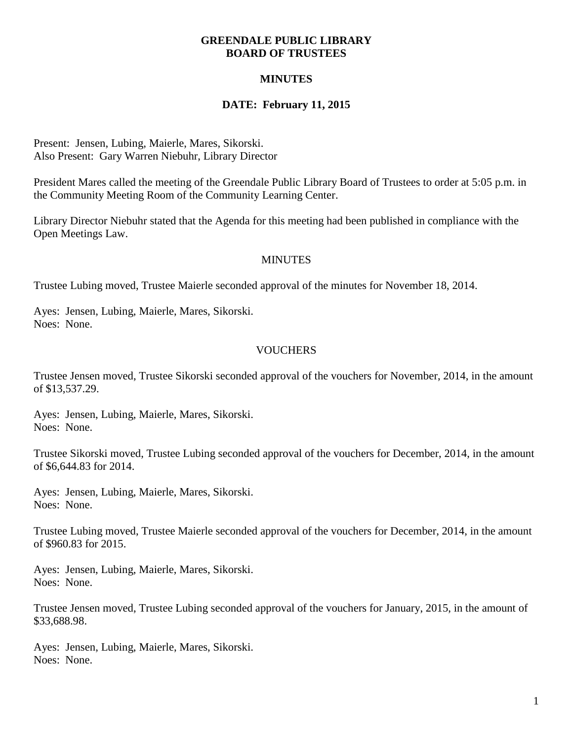### **GREENDALE PUBLIC LIBRARY BOARD OF TRUSTEES**

# **MINUTES**

# **DATE: February 11, 2015**

Present: Jensen, Lubing, Maierle, Mares, Sikorski. Also Present: Gary Warren Niebuhr, Library Director

President Mares called the meeting of the Greendale Public Library Board of Trustees to order at 5:05 p.m. in the Community Meeting Room of the Community Learning Center.

Library Director Niebuhr stated that the Agenda for this meeting had been published in compliance with the Open Meetings Law.

### **MINUTES**

Trustee Lubing moved, Trustee Maierle seconded approval of the minutes for November 18, 2014.

Ayes: Jensen, Lubing, Maierle, Mares, Sikorski. Noes: None.

### **VOUCHERS**

Trustee Jensen moved, Trustee Sikorski seconded approval of the vouchers for November, 2014, in the amount of \$13,537.29.

Ayes: Jensen, Lubing, Maierle, Mares, Sikorski. Noes: None.

Trustee Sikorski moved, Trustee Lubing seconded approval of the vouchers for December, 2014, in the amount of \$6,644.83 for 2014.

Ayes: Jensen, Lubing, Maierle, Mares, Sikorski. Noes: None.

Trustee Lubing moved, Trustee Maierle seconded approval of the vouchers for December, 2014, in the amount of \$960.83 for 2015.

Ayes: Jensen, Lubing, Maierle, Mares, Sikorski. Noes: None.

Trustee Jensen moved, Trustee Lubing seconded approval of the vouchers for January, 2015, in the amount of \$33,688.98.

Ayes: Jensen, Lubing, Maierle, Mares, Sikorski. Noes: None.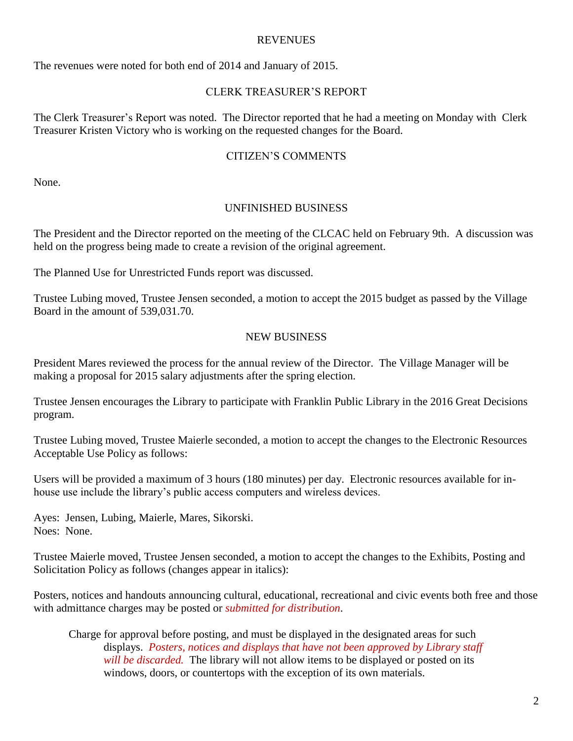### REVENUES

The revenues were noted for both end of 2014 and January of 2015.

## CLERK TREASURER'S REPORT

The Clerk Treasurer's Report was noted. The Director reported that he had a meeting on Monday with Clerk Treasurer Kristen Victory who is working on the requested changes for the Board.

## CITIZEN'S COMMENTS

None.

# UNFINISHED BUSINESS

The President and the Director reported on the meeting of the CLCAC held on February 9th. A discussion was held on the progress being made to create a revision of the original agreement.

The Planned Use for Unrestricted Funds report was discussed.

Trustee Lubing moved, Trustee Jensen seconded, a motion to accept the 2015 budget as passed by the Village Board in the amount of 539,031.70.

### NEW BUSINESS

President Mares reviewed the process for the annual review of the Director. The Village Manager will be making a proposal for 2015 salary adjustments after the spring election.

Trustee Jensen encourages the Library to participate with Franklin Public Library in the 2016 Great Decisions program.

Trustee Lubing moved, Trustee Maierle seconded, a motion to accept the changes to the Electronic Resources Acceptable Use Policy as follows:

Users will be provided a maximum of 3 hours (180 minutes) per day. Electronic resources available for inhouse use include the library's public access computers and wireless devices.

Ayes: Jensen, Lubing, Maierle, Mares, Sikorski. Noes: None.

Trustee Maierle moved, Trustee Jensen seconded, a motion to accept the changes to the Exhibits, Posting and Solicitation Policy as follows (changes appear in italics):

Posters, notices and handouts announcing cultural, educational, recreational and civic events both free and those with admittance charges may be posted or *submitted for distribution*.

Charge for approval before posting, and must be displayed in the designated areas for such displays. *Posters, notices and displays that have not been approved by Library staff will be discarded.* The library will not allow items to be displayed or posted on its windows, doors, or countertops with the exception of its own materials.